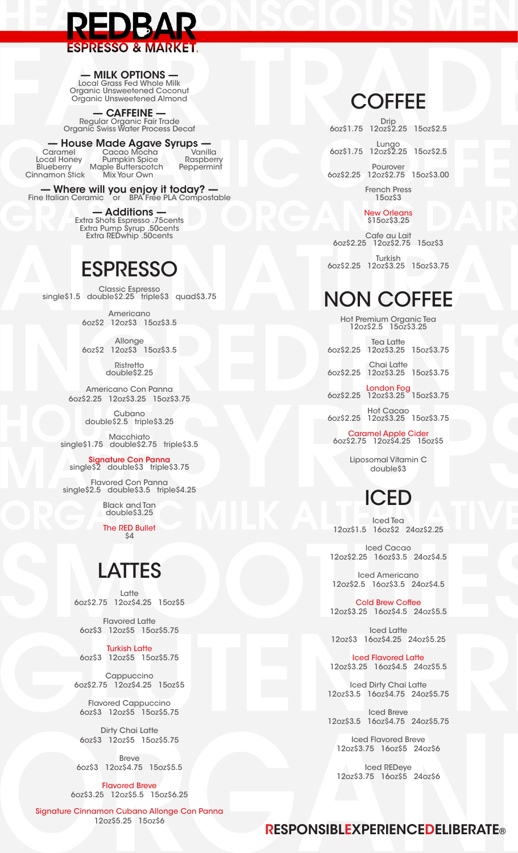# **ESPRESSO & MARKET.**

#### - MILK OPTIONS

Local Grass Fed Whole Milk<br>Organic Unsweetened Coconut Organic Unsweetened Almond

**CAFFEINE** Regular Organic Fair Trade<br>Organic Swiss Water Process Decaf

#### - House Made Agave Syrups

Caramel Caramer<br>Local Honey Pumpkin Spice<br>Rlueberry Maple Butterscotch<br>Aliv Your Own Blueberry<br>Cinnamon Stick

Vanilla Cacao Mocha<br>Pumpkin Spice Raspberry Peppermint Mix Your Own

- Where will you enjoy it today? -<br>Fine Italian Ceramic or BPA Free PLA Compostable

— Additions —<br>Extra Shots Espresso .75cents<br>Extra Pump Syrup .50cents<br>Extra REDwhip .50cents

## **ESPRESSO**

Classic Espresso<br>single\$1.5 double\$2.25 triple\$3 quad\$3.75

Americano 60z\$2 120z\$3 150z\$3.5

Allonge 60z\$2 120z\$3 150z\$3.5

> Ristretto double\$2.25

Americano Con Panna 60z\$2.25 120z\$3.25 150z\$3.75

> Cubano double\$2.5 triple\$3.25

Macchiato<br>single\$1.75 double\$2.75 triple\$3.5

Signature Con Panna<br>single\$2 double\$3 triple\$3.75

Flavored Con Panna single\$2.5 double\$3.5 triple\$4.25

> **Black and Tan** double\$3.25

**The RED Bullet** ŚД

# **LATTES**

Latte 6oz\$2.75 12oz\$4.25 15oz\$5

**Flavored Latte** 6oz\$3 12oz\$5 15oz\$5.75

**Turkish Latte** 6oz\$3 12oz\$5 15oz\$5.75

Cappuccino 6oz\$2.75 12oz\$4.25 15oz\$5

**Flavored Cappuccino** 60z\$3 120z\$5 150z\$5.75

Dirty Chai Latte 60z\$3 120z\$5 150z\$5.75

**Breve** 6oz\$3 12oz\$4.75 15oz\$5.5

**Flavored Breve** 60z\$3.25 120z\$5.5 150z\$6.25

Signature Cinnamon Cubano Allonge Con Panna 12oz\$5.25 15oz\$6

### **COFFEE**

Drip<br>60z\$1.75 12oz\$2.25 15oz\$2.5 Lungo<br>60z\$1.75 12oz\$2.25 15oz\$2.5 Pourover 6oz\$2.25 12oz\$2.75 15oz\$3.00 **French Press**  $15oz$ \$3

> **New Orleans** \$15oz\$3.25

Cafe au Lait 6oz\$2.25 12oz\$2.75 15oz\$3 Turkish 6oz\$2.25 12oz\$3.25 15oz\$3.75

# **NON COFFEE**

Hot Premium Organic Tea<br>12oz\$2.5 15oz\$3.25

| Tea Latte<br>60z\$2.25 120z\$3.25 150z\$3.75        |  |
|-----------------------------------------------------|--|
| Chai Latte<br>60z\$2.25 120z\$3.25 150z\$3.75       |  |
| London Fog<br>60z\$2.25 12oz\$3.25 15oz\$3.75       |  |
| <b>Hot Cacao</b><br>60z\$2.25 120z\$3.25 150z\$3.75 |  |

Caramel Apple Cider<br>60z\$2.75 120z\$4.25 150z\$5

Liposomal Vitamin C double\$3

# ICED

**Iced Tea** 12oz\$1.5 16oz\$2 24oz\$2.25

Iced Cacao 12oz\$2.25 16oz\$3.5 24oz\$4.5

Iced Americano 12oz\$2.5 16oz\$3.5 24oz\$4.5

**Cold Brew Coffee** 12oz\$3.25 16oz\$4.5 24oz\$5.5

Iced Latte 12oz\$3 16oz\$4.25 24oz\$5.25

**Iced Flavored Latte** 12oz\$3.25 16oz\$4.5 24oz\$5.5

Iced Dirty Chai Latte 12oz\$3.5 16oz\$4.75 24oz\$5.75

**Iced Breve** 12oz\$3.5 16oz\$4.75 24oz\$5.75

**Iced Flavored Breve** 12oz\$3.75 16oz\$5 24oz\$6

**Iced REDeye** 12oz\$3.75 16oz\$5 24oz\$6

#### **RESPONSIBLEXPERIENCEDELIBERATE®**